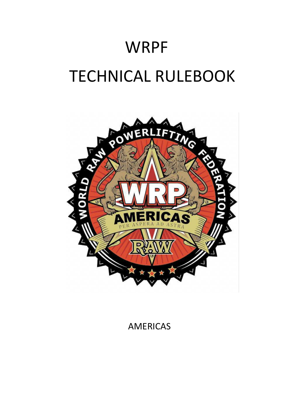# WRPF TECHNICAL RULEBOOK



AMERICAS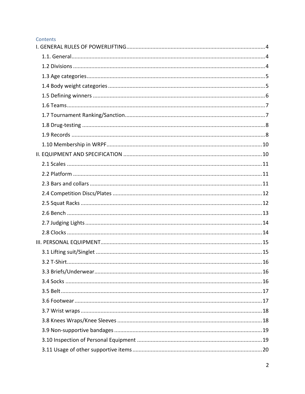#### Contents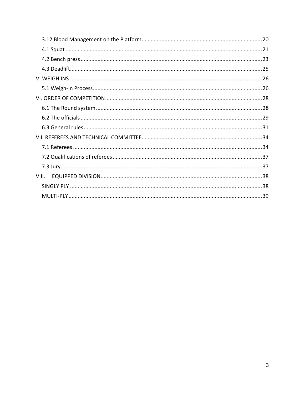| VIII. |  |  |
|-------|--|--|
|       |  |  |
|       |  |  |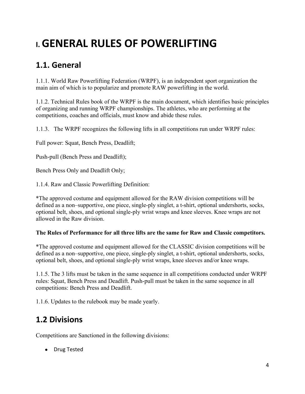# <span id="page-3-0"></span>**I.GENERAL RULES OF POWERLIFTING**

### <span id="page-3-1"></span>**1.1. General**

1.1.1. World Raw Powerlifting Federation (WRPF), is an independent sport organization the main aim of which is to popularize and promote RAW powerlifting in the world.

1.1.2. Technical Rules book of the WRPF is the main document, which identifies basic principles of organizing and running WRPF championships. The athletes, who are performing at the competitions, coaches and officials, must know and abide these rules.

1.1.3. The WRPF recognizes the following lifts in all competitions run under WRPF rules:

Full power: Squat, Bench Press, Deadlift;

Push-pull (Bench Press and Deadlift);

Bench Press Only and Deadlift Only;

1.1.4. Raw and Classic Powerlifting Definition:

\*The approved costume and equipment allowed for the RAW division competitions will be defined as a non–supportive, one piece, single-ply singlet, a t-shirt, optional undershorts, socks, optional belt, shoes, and optional single-ply wrist wraps and knee sleeves. Knee wraps are not allowed in the Raw division.

#### **The Rules of Performance for all three lifts are the same for Raw and Classic competitors.**

\*The approved costume and equipment allowed for the CLASSIC division competitions will be defined as a non–supportive, one piece, single-ply singlet, a t-shirt, optional undershorts, socks, optional belt, shoes, and optional single-ply wrist wraps, knee sleeves and/or knee wraps.

1.1.5. The 3 lifts must be taken in the same sequence in all competitions conducted under WRPF rules: Squat, Bench Press and Deadlift. Push-pull must be taken in the same sequence in all competitions: Bench Press and Deadlift.

1.1.6. Updates to the rulebook may be made yearly.

#### <span id="page-3-2"></span>**1.2 Divisions**

Competitions are Sanctioned in the following divisions:

● Drug Tested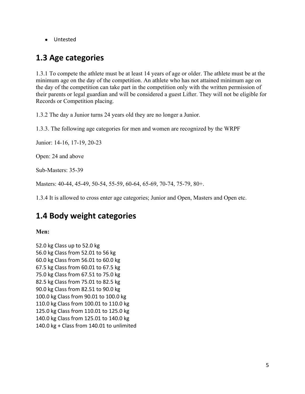● Untested

#### <span id="page-4-0"></span>**1.3 Age categories**

1.3.1 To compete the athlete must be at least 14 years of age or older. The athlete must be at the minimum age on the day of the competition. An athlete who has not attained minimum age on the day of the competition can take part in the competition only with the written permission of their parents or legal guardian and will be considered a guest Lifter. They will not be eligible for Records or Competition placing.

1.3.2 The day a Junior turns 24 years old they are no longer a Junior.

1.3.3. The following age categories for men and women are recognized by the WRPF

Junior: 14-16, 17-19, 20-23

Open: 24 and above

Sub-Masters: 35-39

Masters: 40-44, 45-49, 50-54, 55-59, 60-64, 65-69, 70-74, 75-79, 80+.

1.3.4 It is allowed to cross enter age categories; Junior and Open, Masters and Open etc.

#### <span id="page-4-1"></span>**1.4 Body weight categories**

**Men:** 

52.0 kg Class up to 52.0 kg 56.0 kg Class from 52.01 to 56 kg 60.0 kg Class from 56.01 to 60.0 kg 67.5 kg Class from 60.01 to 67.5 kg 75.0 kg Class from 67.51 to 75.0 kg 82.5 kg Class from 75.01 to 82.5 kg 90.0 kg Class from 82.51 to 90.0 kg 100.0 kg Class from 90.01 to 100.0 kg 110.0 kg Class from 100.01 to 110.0 kg 125.0 kg Class from 110.01 to 125.0 kg 140.0 kg Class from 125.01 to 140.0 kg 140.0 kg + Class from 140.01 to unlimited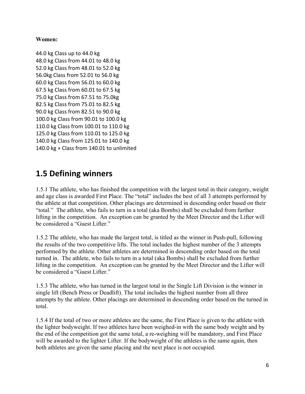#### **Women:**

44.0 kg Class up to 44.0 kg 48.0 kg Class from 44.01 to 48.0 kg 52.0 kg Class from 48.01 to 52.0 kg 56.0kg Class from 52.01 to 56.0 kg 60.0 kg Class from 56.01 to 60.0 kg 67.5 kg Class from 60.01 to 67.5 kg 75.0 kg Class from 67.51 to 75.0kg 82.5 kg Class from 75.01 to 82.5 kg 90.0 kg Class from 82.51 to 90.0 kg 100.0 kg Class from 90.01 to 100.0 kg 110.0 kg Class from 100.01 to 110.0 kg 125.0 kg Class from 110.01 to 125.0 kg 140.0 kg Class from 125.01 to 140.0 kg 140.0 kg + Class from 140.01 to unlimited

#### <span id="page-5-0"></span>**1.5 Defining winners**

1.5.1 The athlete, who has finished the competition with the largest total in their category, weight and age class is awarded First Place. The "total" includes the best of all 3 attempts performed by the athlete at that competition. Other placings are determined in descending order based on their "total." The athlete, who fails to turn in a total (aka Bombs) shall be excluded from further lifting in the competition. An exception can be granted by the Meet Director and the Lifter will be considered a "Guest Lifter."

1.5.2 The athlete, who has made the largest total, is titled as the winner in Push-pull, following the results of the two competitive lifts. The total includes the highest number of the 3 attempts performed by the athlete. Other athletes are determined in descending order based on the total turned in. The athlete, who fails to turn in a total (aka Bombs) shall be excluded from further lifting in the competition. An exception can be granted by the Meet Director and the Lifter will be considered a "Guest Lifter."

1.5.3 The athlete, who has turned in the largest total in the Single Lift Division is the winner in single lift (Bench Press or Deadlift). The total includes the highest number from all three attempts by the athlete. Other placings are determined in descending order based on the turned in total.

1.5.4 If the total of two or more athletes are the same, the First Place is given to the athlete with the lighter bodyweight. If two athletes have been weighed-in with the same body weight and by the end of the competition got the same total, a re-weighing will be mandatory, and First Place will be awarded to the lighter Lifter. If the bodyweight of the athletes is the same again, then both athletes are given the same placing and the next place is not occupied.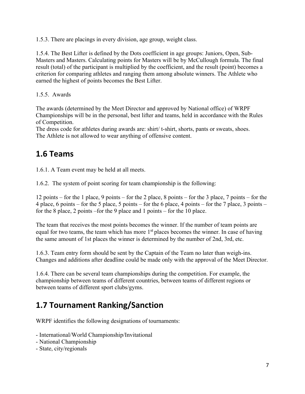1.5.3. There are placings in every division, age group, weight class.

1.5.4. The Best Lifter is defined by the Dots coefficient in age groups: Juniors, Open, Sub-Masters and Masters. Calculating points for Masters will be by McCullough formula. The final result (total) of the participant is multiplied by the coefficient, and the result (point) becomes a criterion for comparing athletes and ranging them among absolute winners. The Athlete who earned the highest of points becomes the Best Lifter.

1.5.5. Awards

The awards (determined by the Meet Director and approved by National office) of WRPF Championships will be in the personal, best lifter and teams, held in accordance with the Rules of Competition.

The dress code for athletes during awards are: shirt/ t-shirt, shorts, pants or sweats, shoes. The Athlete is not allowed to wear anything of offensive content.

#### <span id="page-6-0"></span>**1.6 Teams**

1.6.1. A Team event may be held at all meets.

1.6.2. The system of point scoring for team championship is the following:

12 points – for the 1 place, 9 points – for the 2 place, 8 points – for the 3 place, 7 points – for the 4 place, 6 points – for the 5 place, 5 points – for the 6 place, 4 points – for the 7 place, 3 points – for the 8 place, 2 points –for the 9 place and 1 points – for the 10 place.

The team that receives the most points becomes the winner. If the number of team points are equal for two teams, the team which has more 1<sup>st</sup> places becomes the winner. In case of having the same amount of 1st places the winner is determined by the number of 2nd, 3rd, etc.

1.6.3. Team entry form should be sent by the Captain of the Team no later than weigh-ins. Changes and additions after deadline could be made only with the approval of the Meet Director.

1.6.4. There can be several team championships during the competition. For example, the championship between teams of different countries, between teams of different regions or between teams of different sport clubs/gyms.

### <span id="page-6-1"></span>**1.7 Tournament Ranking/Sanction**

WRPF identifies the following designations of tournaments:

- International/World Championship/Invitational
- National Championship
- State, city/regionals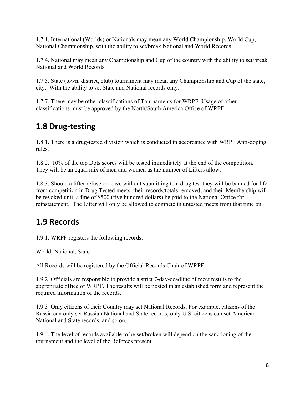1.7.1. International (Worlds) or Nationals may mean any World Championship, World Cup, National Championship, with the ability to set/break National and World Records.

1.7.4. National may mean any Championship and Cup of the country with the ability to set/break National and World Records.

1.7.5. State (town, district, club) tournament may mean any Championship and Cup of the state, city. With the ability to set State and National records only.

1.7.7. There may be other classifications of Tournaments for WRPF. Usage of other classifications must be approved by the North/South America Office of WRPF.

#### <span id="page-7-0"></span>**1.8 Drug-testing**

1.8.1. There is a drug-tested division which is conducted in accordance with WRPF Anti-doping rules.

1.8.2. 10% of the top Dots scores will be tested immediately at the end of the competition. They will be an equal mix of men and women as the number of Lifters allow.

1.8.3. Should a lifter refuse or leave without submitting to a drug test they will be banned for life from competition in Drug Tested meets, their records/totals removed, and their Membership will be revoked until a fine of \$500 (five hundred dollars) be paid to the National Office for reinstatement. The Lifter will only be allowed to compete in untested meets from that time on.

#### <span id="page-7-1"></span>**1.9 Records**

1.9.1. WRPF registers the following records:

World, National, State

All Records will be registered by the Official Records Chair of WRPF.

1.9.2 Officials are responsible to provide a strict 7-day-deadline of meet results to the appropriate office of WRPF. The results will be posted in an established form and represent the required information of the records.

1.9.3 Only citizens of their Country may set National Records. For example, citizens of the Russia can only set Russian National and State records; only U.S. citizens can set American National and State records, and so on.

1.9.4. The level of records available to be set/broken will depend on the sanctioning of the tournament and the level of the Referees present.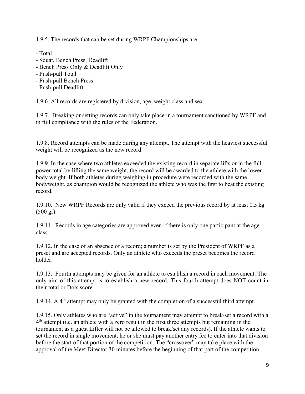1.9.5. The records that can be set during WRPF Championships are:

- Total
- Squat, Bench Press, Deadlift
- Bench Press Only & Deadlift Only
- Push-pull Total
- Push-pull Bench Press
- Push-pull Deadlift

1.9.6. All records are registered by division, age, weight class and sex.

1.9.7. Breaking or setting records can only take place in a tournament sanctioned by WRPF and in full compliance with the rules of the Federation.

1.9.8. Record attempts can be made during any attempt. The attempt with the heaviest successful weight will be recognized as the new record.

1.9.9. In the case where two athletes exceeded the existing record in separate lifts or in the full power total by lifting the same weight, the record will be awarded to the athlete with the lower body weight. If both athletes during weighing in procedure were recorded with the same bodyweight, as champion would be recognized the athlete who was the first to beat the existing record.

1.9.10. New WRPF Records are only valid if they exceed the previous record by at least 0.5 kg (500 gr).

1.9.11. Records in age categories are approved even if there is only one participant at the age class.

1.9.12. In the case of an absence of a record; a number is set by the President of WRPF as a preset and are accepted records. Only an athlete who exceeds the preset becomes the record holder.

1.9.13. Fourth attempts may be given for an athlete to establish a record in each movement. The only aim of this attempt is to establish a new record. This fourth attempt does NOT count in their total or Dots score.

1.9.14. A  $4<sup>th</sup>$  attempt may only be granted with the completion of a successful third attempt.

1.9.15. Only athletes who are "active" in the tournament may attempt to break/set a record with a 4<sup>th</sup> attempt (i.e. an athlete with a zero result in the first three attempts but remaining in the tournament as a guest Lifter will not be allowed to break/set any records). If the athlete wants to set the record in single movement, he or she must pay another entry fee to enter into that division before the start of that portion of the competition. The "crossover" may take place with the approval of the Meet Director 30 minutes before the beginning of that part of the competition*.*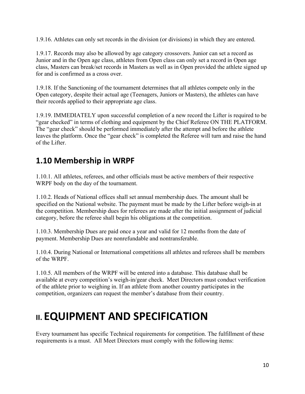1.9.16. Athletes can only set records in the division (or divisions) in which they are entered.

1.9.17. Records may also be allowed by age category crossovers. Junior can set a record as Junior and in the Open age class, athletes from Open class can only set a record in Open age class, Masters can break/set records in Masters as well as in Open provided the athlete signed up for and is confirmed as a cross over.

1.9.18. If the Sanctioning of the tournament determines that all athletes compete only in the Open category, despite their actual age (Teenagers, Juniors or Masters), the athletes can have their records applied to their appropriate age class.

1.9.19. IMMEDIATELY upon successful completion of a new record the Lifter is required to be "gear checked" in terms of clothing and equipment by the Chief Referee ON THE PLATFORM. The "gear check" should be performed immediately after the attempt and before the athlete leaves the platform. Once the "gear check" is completed the Referee will turn and raise the hand of the Lifter.

#### <span id="page-9-0"></span>**1.10 Membership in WRPF**

1.10.1. All athletes, referees, and other officials must be active members of their respective WRPF body on the day of the tournament.

1.10.2. Heads of National offices shall set annual membership dues. The amount shall be specified on the National website. The payment must be made by the Lifter before weigh-in at the competition. Membership dues for referees are made after the initial assignment of judicial category, before the referee shall begin his obligations at the competition.

1.10.3. Membership Dues are paid once a year and valid for 12 months from the date of payment. Membership Dues are nonrefundable and nontransferable.

1.10.4. During National or International competitions all athletes and referees shall be members of the WRPF.

1.10.5. All members of the WRPF will be entered into a database. This database shall be available at every competition's weigh-in/gear check. Meet Directors must conduct verification of the athlete prior to weighing in. If an athlete from another country participates in the competition, organizers can request the member's database from their country.

# <span id="page-9-1"></span>**II. EQUIPMENT AND SPECIFICATION**

Every tournament has specific Technical requirements for competition. The fulfillment of these requirements is a must. All Meet Directors must comply with the following items: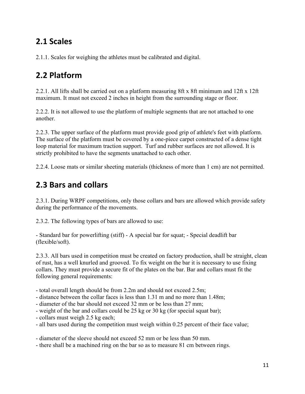### <span id="page-10-0"></span>**2.1 Scales**

2.1.1. Scales for weighing the athletes must be calibrated and digital.

### <span id="page-10-1"></span>**2.2 Platform**

2.2.1. All lifts shall be carried out on a platform measuring 8ft x 8ft minimum and 12ft x 12ft maximum. It must not exceed 2 inches in height from the surrounding stage or floor.

2.2.2. It is not allowed to use the platform of multiple segments that are not attached to one another.

2.2.3. The upper surface of the platform must provide good grip of athlete's feet with platform. The surface of the platform must be covered by a one-piece carpet constructed of a dense tight loop material for maximum traction support. Turf and rubber surfaces are not allowed. It is strictly prohibited to have the segments unattached to each other.

2.2.4. Loose mats or similar sheeting materials (thickness of more than 1 cm) are not permitted.

### <span id="page-10-2"></span>**2.3 Bars and collars**

2.3.1. During WRPF competitions, only those collars and bars are allowed which provide safety during the performance of the movements.

2.3.2. The following types of bars are allowed to use:

- Standard bar for powerlifting (stiff) - A special bar for squat; - Special deadlift bar (flexible/soft).

2.3.3. All bars used in competition must be created on factory production, shall be straight, clean of rust, has a well knurled and grooved. To fix weight on the bar it is necessary to use fixing collars. They must provide a secure fit of the plates on the bar. Bar and collars must fit the following general requirements:

- total overall length should be from 2.2m and should not exceed 2.5m;
- distance between the collar faces is less than 1.31 m and no more than 1.48m;
- diameter of the bar should not exceed 32 mm or be less than 27 mm;
- weight of the bar and collars could be 25 kg or 30 kg (for special squat bar);
- collars must weigh 2.5 kg each;
- all bars used during the competition must weigh within 0.25 percent of their face value;

- diameter of the sleeve should not exceed 52 mm or be less than 50 mm.

- there shall be a machined ring on the bar so as to measure 81 cm between rings.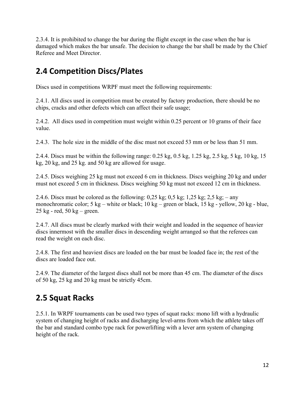2.3.4. It is prohibited to change the bar during the flight except in the case when the bar is damaged which makes the bar unsafe. The decision to change the bar shall be made by the Chief Referee and Meet Director.

### <span id="page-11-0"></span>**2.4 Competition Discs/Plates**

Discs used in competitions WRPF must meet the following requirements:

2.4.1. All discs used in competition must be created by factory production, there should be no chips, cracks and other defects which can affect their safe usage;

2.4.2. All discs used in competition must weight within 0.25 percent or 10 grams of their face value.

2.4.3. The hole size in the middle of the disc must not exceed 53 mm or be less than 51 mm.

2.4.4. Discs must be within the following range: 0.25 kg, 0.5 kg, 1.25 kg, 2.5 kg, 5 kg, 10 kg, 15 kg, 20 kg, and 25 kg. and 50 kg are allowed for usage.

2.4.5. Discs weighing 25 kg must not exceed 6 cm in thickness. Discs weighing 20 kg and under must not exceed 5 cm in thickness. Discs weighing 50 kg must not exceed 12 cm in thickness.

2.4.6. Discs must be colored as the following:  $0.25 \text{ kg}$ ;  $0.5 \text{ kg}$ ;  $1.25 \text{ kg}$ ;  $2.5 \text{ kg}$ ; – any monochromatic color; 5 kg – white or black; 10 kg – green or black, 15 kg - yellow, 20 kg - blue,  $25 \text{ kg}$  - red,  $50 \text{ kg}$  – green.

2.4.7. All discs must be clearly marked with their weight and loaded in the sequence of heavier discs innermost with the smaller discs in descending weight arranged so that the referees can read the weight on each disc.

2.4.8. The first and heaviest discs are loaded on the bar must be loaded face in; the rest of the discs are loaded face out.

2.4.9. The diameter of the largest discs shall not be more than 45 cm. The diameter of the discs of 50 kg, 25 kg and 20 kg must be strictly 45cm.

### <span id="page-11-1"></span>**2.5 Squat Racks**

2.5.1. In WRPF tournaments can be used two types of squat racks: mono lift with a hydraulic system of changing height of racks and discharging level-arms from which the athlete takes off the bar and standard combo type rack for powerlifting with a lever arm system of changing height of the rack.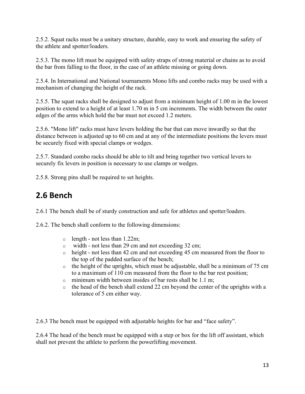2.5.2. Squat racks must be a unitary structure, durable, easy to work and ensuring the safety of the athlete and spotter/loaders.

2.5.3. The mono lift must be equipped with safety straps of strong material or chains as to avoid the bar from falling to the floor, in the case of an athlete missing or going down.

2.5.4. In International and National tournaments Mono lifts and combo racks may be used with a mechanism of changing the height of the rack.

2.5.5. The squat racks shall be designed to adjust from a minimum height of 1.00 m in the lowest position to extend to a height of at least 1.70 m in 5 cm increments. The width between the outer edges of the arms which hold the bar must not exceed 1.2 meters.

2.5.6. "Mono lift" racks must have levers holding the bar that can move inwardly so that the distance between is adjusted up to 60 cm and at any of the intermediate positions the levers must be securely fixed with special clamps or wedges.

2.5.7. Standard combo racks should be able to tilt and bring together two vertical levers to securely fix levers in position is necessary to use clamps or wedges.

2.5.8. Strong pins shall be required to set heights.

#### <span id="page-12-0"></span>**2.6 Bench**

2.6.1 The bench shall be of sturdy construction and safe for athletes and spotter/loaders.

2.6.2. The bench shall conform to the following dimensions:

- $\circ$  length not less than 1.22m;
- o width not less than 29 cm and not exceeding 32 cm;
- o height not less than 42 cm and not exceeding 45 cm measured from the floor to the top of the padded surface of the bench;
- o the height of the uprights, which must be adjustable, shall be a minimum of 75 cm to a maximum of 110 cm measured from the floor to the bar rest position;
- o minimum width between insides of bar rests shall be 1.1 m;
- o the head of the bench shall extend 22 cm beyond the center of the uprights with a tolerance of 5 cm either way.

2.6.3 The bench must be equipped with adjustable heights for bar and "face safety".

2.6.4 The head of the bench must be equipped with a step or box for the lift off assistant, which shall not prevent the athlete to perform the powerlifting movement.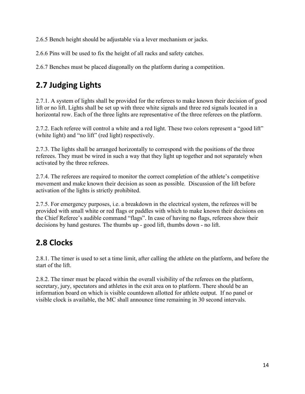2.6.5 Bench height should be adjustable via a lever mechanism or jacks.

2.6.6 Pins will be used to fix the height of all racks and safety catches.

2.6.7 Benches must be placed diagonally on the platform during a competition.

### <span id="page-13-0"></span>**2.7 Judging Lights**

2.7.1. A system of lights shall be provided for the referees to make known their decision of good lift or no lift. Lights shall be set up with three white signals and three red signals located in a horizontal row. Each of the three lights are representative of the three referees on the platform.

2.7.2. Each referee will control a white and a red light. These two colors represent a "good lift" (white light) and "no lift" (red light) respectively.

2.7.3. The lights shall be arranged horizontally to correspond with the positions of the three referees. They must be wired in such a way that they light up together and not separately when activated by the three referees.

2.7.4. The referees are required to monitor the correct completion of the athlete's competitive movement and make known their decision as soon as possible. Discussion of the lift before activation of the lights is strictly prohibited.

2.7.5. For emergency purposes, i.e. a breakdown in the electrical system, the referees will be provided with small white or red flags or paddles with which to make known their decisions on the Chief Referee's audible command "flags". In case of having no flags, referees show their decisions by hand gestures. The thumbs up - good lift, thumbs down - no lift.

#### <span id="page-13-1"></span>**2.8 Clocks**

2.8.1. The timer is used to set a time limit, after calling the athlete on the platform, and before the start of the lift.

2.8.2. The timer must be placed within the overall visibility of the referees on the platform, secretary, jury, spectators and athletes in the exit area on to platform. There should be an information board on which is visible countdown allotted for athlete output. If no panel or visible clock is available, the MC shall announce time remaining in 30 second intervals.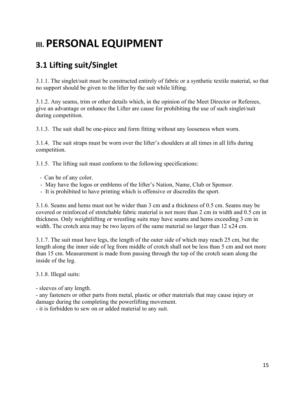# <span id="page-14-0"></span>**III. PERSONAL EQUIPMENT**

### <span id="page-14-1"></span>**3.1 Lifting suit/Singlet**

3.1.1. The singlet/suit must be constructed entirely of fabric or a synthetic textile material, so that no support should be given to the lifter by the suit while lifting.

3.1.2. Any seams, trim or other details which, in the opinion of the Meet Director or Referees, give an advantage or enhance the Lifter are cause for prohibiting the use of such singlet/suit during competition.

3.1.3. The suit shall be one-piece and form fitting without any looseness when worn.

3.1.4. The suit straps must be worn over the lifter's shoulders at all times in all lifts during competition.

3.1.5. The lifting suit must conform to the following specifications:

- Can be of any color.
- May have the logos or emblems of the lifter's Nation, Name, Club or Sponsor.
- It is prohibited to have printing which is offensive or discredits the sport.

3.1.6. Seams and hems must not be wider than 3 cm and a thickness of 0.5 cm. Seams may be covered or reinforced of stretchable fabric material is not more than 2 cm in width and 0.5 cm in thickness. Only weightlifting or wrestling suits may have seams and hems exceeding 3 cm in width. The crotch area may be two layers of the same material no larger than 12 x24 cm.

3.1.7. The suit must have legs, the length of the outer side of which may reach 25 cm, but the length along the inner side of leg from middle of crotch shall not be less than 5 cm and not more than 15 cm. Measurement is made from passing through the top of the crotch seam along the inside of the leg.

3.1.8. Illegal suits:

- sleeves of any length.

- any fasteners or other parts from metal, plastic or other materials that may cause injury or damage during the completing the powerlifting movement.

- it is forbidden to sew on or added material to any suit.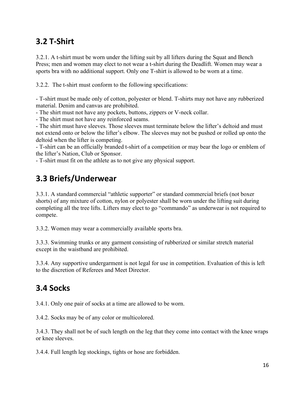#### <span id="page-15-0"></span>**3.2 T-Shirt**

3.2.1. A t-shirt must be worn under the lifting suit by all lifters during the Squat and Bench Press; men and women may elect to not wear a t-shirt during the Deadlift. Women may wear a sports bra with no additional support. Only one T-shirt is allowed to be worn at a time.

3.2.2. The t-shirt must conform to the following specifications:

- T-shirt must be made only of cotton, polyester or blend. T-shirts may not have any rubberized material. Denim and canvas are prohibited.

- The shirt must not have any pockets, buttons, zippers or V-neck collar.

- The shirt must not have any reinforced seams.

- The shirt must have sleeves. Those sleeves must terminate below the lifter's deltoid and must not extend onto or below the lifter's elbow. The sleeves may not be pushed or rolled up onto the deltoid when the lifter is competing.

- T-shirt can be an officially branded t-shirt of a competition or may bear the logo or emblem of the lifter's Nation, Club or Sponsor.

- T-shirt must fit on the athlete as to not give any physical support.

### <span id="page-15-1"></span>**3.3 Briefs/Underwear**

3.3.1. A standard commercial "athletic supporter" or standard commercial briefs (not boxer shorts) of any mixture of cotton, nylon or polyester shall be worn under the lifting suit during completing all the tree lifts. Lifters may elect to go "commando" as underwear is not required to compete.

3.3.2. Women may wear a commercially available sports bra.

3.3.3. Swimming trunks or any garment consisting of rubberized or similar stretch material except in the waistband are prohibited.

3.3.4. Any supportive undergarment is not legal for use in competition. Evaluation of this is left to the discretion of Referees and Meet Director.

#### <span id="page-15-2"></span>**3.4 Socks**

3.4.1. Only one pair of socks at a time are allowed to be worn.

3.4.2. Socks may be of any color or multicolored.

3.4.3. They shall not be of such length on the leg that they come into contact with the knee wraps or knee sleeves.

3.4.4. Full length leg stockings, tights or hose are forbidden.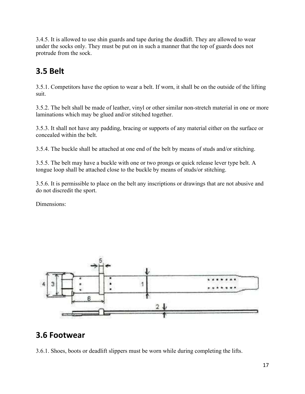3.4.5. It is allowed to use shin guards and tape during the deadlift. They are allowed to wear under the socks only. They must be put on in such a manner that the top of guards does not protrude from the sock.

#### <span id="page-16-0"></span>**3.5 Belt**

3.5.1. Competitors have the option to wear a belt. If worn, it shall be on the outside of the lifting suit.

3.5.2. The belt shall be made of leather, vinyl or other similar non-stretch material in one or more laminations which may be glued and/or stitched together.

3.5.3. It shall not have any padding, bracing or supports of any material either on the surface or concealed within the belt.

3.5.4. The buckle shall be attached at one end of the belt by means of studs and/or stitching.

3.5.5. The belt may have a buckle with one or two prongs or quick release lever type belt. A tongue loop shall be attached close to the buckle by means of studs/or stitching.

3.5.6. It is permissible to place on the belt any inscriptions or drawings that are not abusive and do not discredit the sport.

Dimensions:



#### <span id="page-16-1"></span>**3.6 Footwear**

3.6.1. Shoes, boots or deadlift slippers must be worn while during completing the lifts.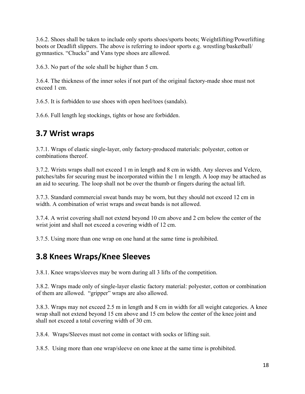3.6.2. Shoes shall be taken to include only sports shoes/sports boots; Weightlifting/Powerlifting boots or Deadlift slippers. The above is referring to indoor sports e.g. wrestling/basketball/ gymnastics. "Chucks" and Vans type shoes are allowed.

3.6.3. No part of the sole shall be higher than 5 cm.

3.6.4. The thickness of the inner soles if not part of the original factory-made shoe must not exceed 1 cm.

3.6.5. It is forbidden to use shoes with open heel/toes (sandals).

3.6.6. Full length leg stockings, tights or hose are forbidden.

#### <span id="page-17-0"></span>**3.7 Wrist wraps**

3.7.1. Wraps of elastic single-layer, only factory-produced materials: polyester, cotton or combinations thereof.

3.7.2. Wrists wraps shall not exceed 1 m in length and 8 cm in width. Any sleeves and Velcro, patches/tabs for securing must be incorporated within the 1 m length. A loop may be attached as an aid to securing. The loop shall not be over the thumb or fingers during the actual lift.

3.7.3. Standard commercial sweat bands may be worn, but they should not exceed 12 cm in width. A combination of wrist wraps and sweat bands is not allowed.

3.7.4. A wrist covering shall not extend beyond 10 cm above and 2 cm below the center of the wrist joint and shall not exceed a covering width of 12 cm.

3.7.5. Using more than one wrap on one hand at the same time is prohibited.

#### <span id="page-17-1"></span>**3.8 Knees Wraps/Knee Sleeves**

3.8.1. Knee wraps/sleeves may be worn during all 3 lifts of the competition.

3.8.2. Wraps made only of single-layer elastic factory material: polyester, cotton or combination of them are allowed. "gripper" wraps are also allowed.

3.8.3. Wraps may not exceed 2.5 m in length and 8 cm in width for all weight categories. A knee wrap shall not extend beyond 15 cm above and 15 cm below the center of the knee joint and shall not exceed a total covering width of 30 cm.

3.8.4. Wraps/Sleeves must not come in contact with socks or lifting suit.

3.8.5. Using more than one wrap/sleeve on one knee at the same time is prohibited.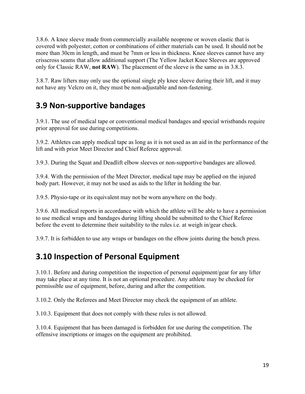3.8.6. A knee sleeve made from commercially available neoprene or woven elastic that is covered with polyester, cotton or combinations of either materials can be used. It should not be more than 30cm in length, and must be 7mm or less in thickness. Knee sleeves cannot have any crisscross seams that allow additional support (The Yellow Jacket Knee Sleeves are approved only for Classic RAW, **not RAW**). The placement of the sleeve is the same as in 3.8.3.

3.8.7. Raw lifters may only use the optional single ply knee sleeve during their lift, and it may not have any Velcro on it, they must be non-adjustable and non-fastening.

#### <span id="page-18-0"></span>**3.9 Non-supportive bandages**

3.9.1. The use of medical tape or conventional medical bandages and special wristbands require prior approval for use during competitions.

3.9.2. Athletes can apply medical tape as long as it is not used as an aid in the performance of the lift and with prior Meet Director and Chief Referee approval.

3.9.3. During the Squat and Deadlift elbow sleeves or non-supportive bandages are allowed.

3.9.4. With the permission of the Meet Director, medical tape may be applied on the injured body part. However, it may not be used as aids to the lifter in holding the bar.

3.9.5. Physio-tape or its equivalent may not be worn anywhere on the body.

3.9.6. All medical reports in accordance with which the athlete will be able to have a permission to use medical wraps and bandages during lifting should be submitted to the Chief Referee before the event to determine their suitability to the rules i.e. at weigh in/gear check.

3.9.7. It is forbidden to use any wraps or bandages on the elbow joints during the bench press.

#### <span id="page-18-1"></span>**3.10 Inspection of Personal Equipment**

3.10.1. Before and during competition the inspection of personal equipment/gear for any lifter may take place at any time. It is not an optional procedure. Any athlete may be checked for permissible use of equipment, before, during and after the competition.

3.10.2. Only the Referees and Meet Director may check the equipment of an athlete.

3.10.3. Equipment that does not comply with these rules is not allowed.

3.10.4. Equipment that has been damaged is forbidden for use during the competition. The offensive inscriptions or images on the equipment are prohibited.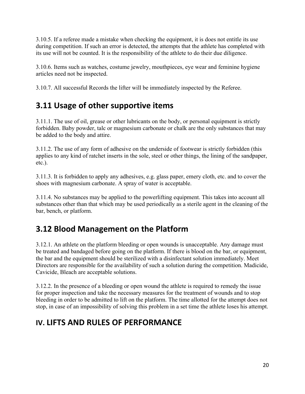3.10.5. If a referee made a mistake when checking the equipment, it is does not entitle its use during competition. If such an error is detected, the attempts that the athlete has completed with its use will not be counted. It is the responsibility of the athlete to do their due diligence.

3.10.6. Items such as watches, costume jewelry, mouthpieces, eye wear and feminine hygiene articles need not be inspected.

3.10.7. All successful Records the lifter will be immediately inspected by the Referee.

### <span id="page-19-0"></span>**3.11 Usage of other supportive items**

3.11.1. The use of oil, grease or other lubricants on the body, or personal equipment is strictly forbidden. Baby powder, talc or magnesium carbonate or chalk are the only substances that may be added to the body and attire.

3.11.2. The use of any form of adhesive on the underside of footwear is strictly forbidden (this applies to any kind of ratchet inserts in the sole, steel or other things, the lining of the sandpaper, etc.).

3.11.3. It is forbidden to apply any adhesives, e.g. glass paper, emery cloth, etc. and to cover the shoes with magnesium carbonate. A spray of water is acceptable.

3.11.4. No substances may be applied to the powerlifting equipment. This takes into account all substances other than that which may be used periodically as a sterile agent in the cleaning of the bar, bench, or platform.

### <span id="page-19-1"></span>**3.12 Blood Management on the Platform**

3.12.1. An athlete on the platform bleeding or open wounds is unacceptable. Any damage must be treated and bandaged before going on the platform. If there is blood on the bar, or equipment, the bar and the equipment should be sterilized with a disinfectant solution immediately. Meet Directors are responsible for the availability of such a solution during the competition. Madicide, Cavicide, Bleach are acceptable solutions.

3.12.2. In the presence of a bleeding or open wound the athlete is required to remedy the issue for proper inspection and take the necessary measures for the treatment of wounds and to stop bleeding in order to be admitted to lift on the platform. The time allotted for the attempt does not stop, in case of an impossibility of solving this problem in a set time the athlete loses his attempt.

#### **IV. LIFTS AND RULES OF PERFORMANCE**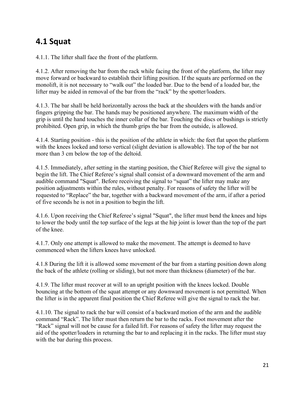### <span id="page-20-0"></span>**4.1 Squat**

4.1.1. The lifter shall face the front of the platform.

4.1.2. After removing the bar from the rack while facing the front of the platform, the lifter may move forward or backward to establish their lifting position. If the squats are performed on the monolift, it is not necessary to "walk out" the loaded bar. Due to the bend of a loaded bar, the lifter may be aided in removal of the bar from the "rack" by the spotter/loaders.

4.1.3. The bar shall be held horizontally across the back at the shoulders with the hands and/or fingers gripping the bar. The hands may be positioned anywhere. The maximum width of the grip is until the hand touches the inner collar of the bar. Touching the discs or bushings is strictly prohibited. Open grip, in which the thumb grips the bar from the outside, is allowed.

4.1.4. Starting position - this is the position of the athlete in which: the feet flat upon the platform with the knees locked and torso vertical (slight deviation is allowable). The top of the bar not more than 3 cm below the top of the deltoid.

4.1.5. Immediately, after setting in the starting position, the Chief Referee will give the signal to begin the lift. The Chief Referee's signal shall consist of a downward movement of the arm and audible command "Squat". Before receiving the signal to "squat" the lifter may make any position adjustments within the rules, without penalty. For reasons of safety the lifter will be requested to "Replace" the bar, together with a backward movement of the arm, if after a period of five seconds he is not in a position to begin the lift.

4.1.6. Upon receiving the Chief Referee's signal "Squat", the lifter must bend the knees and hips to lower the body until the top surface of the legs at the hip joint is lower than the top of the part of the knee.

4.1.7. Only one attempt is allowed to make the movement. The attempt is deemed to have commenced when the lifters knees have unlocked.

4.1.8 During the lift it is allowed some movement of the bar from a starting position down along the back of the athlete (rolling or sliding), but not more than thickness (diameter) of the bar.

4.1.9. The lifter must recover at will to an upright position with the knees locked. Double bouncing at the bottom of the squat attempt or any downward movement is not permitted. When the lifter is in the apparent final position the Chief Referee will give the signal to rack the bar.

4.1.10. The signal to rack the bar will consist of a backward motion of the arm and the audible command "Rack". The lifter must then return the bar to the racks. Foot movement after the "Rack" signal will not be cause for a failed lift. For reasons of safety the lifter may request the aid of the spotter/loaders in returning the bar to and replacing it in the racks. The lifter must stay with the bar during this process.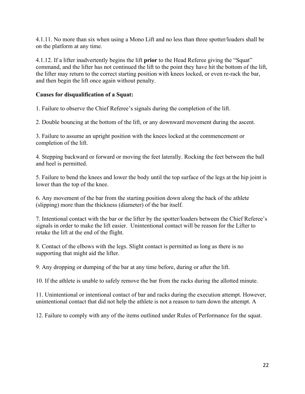4.1.11. No more than six when using a Mono Lift and no less than three spotter/loaders shall be on the platform at any time.

4.1.12. If a lifter inadvertently begins the lift **prior** to the Head Referee giving the "Squat" command, and the lifter has not continued the lift to the point they have hit the bottom of the lift, the lifter may return to the correct starting position with knees locked, or even re-rack the bar, and then begin the lift once again without penalty.

#### **Causes for disqualification of a Squat:**

1. Failure to observe the Chief Referee's signals during the completion of the lift.

2. Double bouncing at the bottom of the lift, or any downward movement during the ascent.

3. Failure to assume an upright position with the knees locked at the commencement or completion of the lift.

4. Stepping backward or forward or moving the feet laterally. Rocking the feet between the ball and heel is permitted.

5. Failure to bend the knees and lower the body until the top surface of the legs at the hip joint is lower than the top of the knee.

6. Any movement of the bar from the starting position down along the back of the athlete (slipping) more than the thickness (diameter) of the bar itself.

7. Intentional contact with the bar or the lifter by the spotter/loaders between the Chief Referee's signals in order to make the lift easier. Unintentional contact will be reason for the Lifter to retake the lift at the end of the flight.

8. Contact of the elbows with the legs. Slight contact is permitted as long as there is no supporting that might aid the lifter.

9. Any dropping or dumping of the bar at any time before, during or after the lift.

10. If the athlete is unable to safely remove the bar from the racks during the allotted minute.

11. Unintentional or intentional contact of bar and racks during the execution attempt. However, unintentional contact that did not help the athlete is not a reason to turn down the attempt. A

12. Failure to comply with any of the items outlined under Rules of Performance for the squat.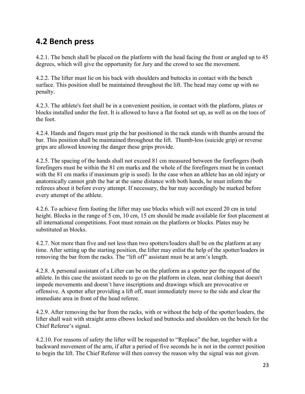#### <span id="page-22-0"></span>**4.2 Bench press**

4.2.1. The bench shall be placed on the platform with the head facing the front or angled up to 45 degrees, which will give the opportunity for Jury and the crowd to see the movement.

4.2.2. The lifter must lie on his back with shoulders and buttocks in contact with the bench surface. This position shall be maintained throughout the lift. The head may come up with no penalty.

4.2.3. The athlete's feet shall be in a convenient position, in contact with the platform, plates or blocks installed under the feet. It is allowed to have a flat footed set up, as well as on the toes of the foot.

4.2.4. Hands and fingers must grip the bar positioned in the rack stands with thumbs around the bar. This position shall be maintained throughout the lift. Thumb-less (suicide grip) or reverse grips are allowed knowing the danger these grips provide.

4.2.5. The spacing of the hands shall not exceed 81 cm measured between the forefingers (both forefingers must be within the 81 cm marks and the whole of the forefingers must be in contact with the 81 cm marks if maximum grip is used). In the case when an athlete has an old injury or anatomically cannot grab the bar at the same distance with both hands, he must inform the referees about it before every attempt. If necessary, the bar may accordingly be marked before every attempt of the athlete.

4.2.6. To achieve firm footing the lifter may use blocks which will not exceed 20 cm in total height. Blocks in the range of 5 cm, 10 cm, 15 cm should be made available for foot placement at all international competitions. Foot must remain on the platform or blocks. Plates may be substituted as blocks.

4.2.7. Not more than five and not less than two spotters/loaders shall be on the platform at any time. After setting up the starting position, the lifter may enlist the help of the spotter/loaders in removing the bar from the racks. The "lift off" assistant must be at arm's length.

4.2.8. A personal assistant of a Lifter can be on the platform as a spotter per the request of the athlete. In this case the assistant needs to go on the platform in clean, neat clothing that doesn't impede movements and doesn't have inscriptions and drawings which are provocative or offensive. A spotter after providing a lift off, must immediately move to the side and clear the immediate area in front of the head referee.

4.2.9. After removing the bar from the racks, with or without the help of the spotter/loaders, the lifter shall wait with straight arms elbows locked and buttocks and shoulders on the bench for the Chief Referee's signal.

4.2.10. For reasons of safety the lifter will be requested to "Replace" the bar, together with a backward movement of the arm, if after a period of five seconds he is not in the correct position to begin the lift. The Chief Referee will then convey the reason why the signal was not given.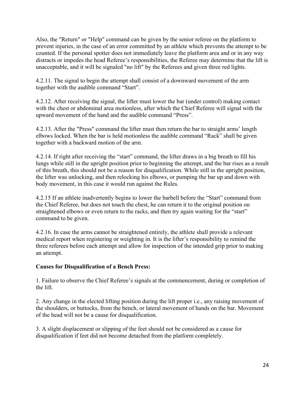Also, the "Return" or "Help" command can be given by the senior referee on the platform to prevent injuries, in the case of an error committed by an athlete which prevents the attempt to be counted. If the personal spotter does not immediately leave the platform area and or in any way distracts or impedes the head Referee's responsibilities, the Referee may determine that the lift is unacceptable, and it will be signaled "no lift" by the Referees and given three red lights.

4.2.11. The signal to begin the attempt shall consist of a downward movement of the arm together with the audible command "Start".

4.2.12. After receiving the signal, the lifter must lower the bar (under control) making contact with the chest or abdominal area motionless, after which the Chief Referee will signal with the upward movement of the hand and the audible command "Press".

4.2.13. After the "Press" command the lifter must then return the bar to straight arms' length elbows locked. When the bar is held motionless the audible command "Rack" shall be given together with a backward motion of the arm.

4.2.14. If right after receiving the "start" command, the lifter draws in a big breath to fill his lungs while still in the upright position prior to beginning the attempt, and the bar rises as a result of this breath, this should not be a reason for disqualification. While still in the upright position, the lifter was unlocking, and then relocking his elbows, or pumping the bar up and down with body movement, in this case it would run against the Rules.

4.2.15 If an athlete inadvertently begins to lower the barbell before the "Start" command from the Chief Referee, but does not touch the chest, he can return it to the original position on straightened elbows or even return to the racks, and then try again waiting for the "start" command to be given.

4.2.16. In case the arms cannot be straightened entirely, the athlete shall provide a relevant medical report when registering or weighting in. It is the lifter's responsibility to remind the three referees before each attempt and allow for inspection of the intended grip prior to making an attempt.

#### **Causes for Disqualification of a Bench Press:**

1. Failure to observe the Chief Referee's signals at the commencement, during or completion of the lift.

2. Any change in the elected lifting position during the lift proper i.e., any raising movement of the shoulders, or buttocks, from the bench, or lateral movement of hands on the bar. Movement of the head will not be a cause for disqualification.

3. A slight displacement or slipping of the feet should not be considered as a cause for disqualification if feet did not become detached from the platform completely.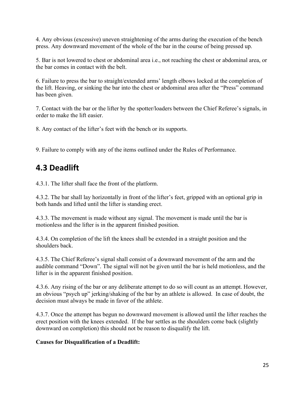4. Any obvious (excessive) uneven straightening of the arms during the execution of the bench press. Any downward movement of the whole of the bar in the course of being pressed up.

5. Bar is not lowered to chest or abdominal area i.e., not reaching the chest or abdominal area, or the bar comes in contact with the belt.

6. Failure to press the bar to straight/extended arms' length elbows locked at the completion of the lift. Heaving, or sinking the bar into the chest or abdominal area after the "Press" command has been given.

7. Contact with the bar or the lifter by the spotter/loaders between the Chief Referee's signals, in order to make the lift easier.

8. Any contact of the lifter's feet with the bench or its supports.

9. Failure to comply with any of the items outlined under the Rules of Performance.

#### <span id="page-24-0"></span>**4.3 Deadlift**

4.3.1. The lifter shall face the front of the platform.

4.3.2. The bar shall lay horizontally in front of the lifter's feet, gripped with an optional grip in both hands and lifted until the lifter is standing erect.

4.3.3. The movement is made without any signal. The movement is made until the bar is motionless and the lifter is in the apparent finished position.

4.3.4. On completion of the lift the knees shall be extended in a straight position and the shoulders back.

4.3.5. The Chief Referee's signal shall consist of a downward movement of the arm and the audible command "Down". The signal will not be given until the bar is held motionless, and the lifter is in the apparent finished position.

4.3.6. Any rising of the bar or any deliberate attempt to do so will count as an attempt. However, an obvious "psych up" jerking/shaking of the bar by an athlete is allowed. In case of doubt, the decision must always be made in favor of the athlete.

4.3.7. Once the attempt has begun no downward movement is allowed until the lifter reaches the erect position with the knees extended. If the bar settles as the shoulders come back (slightly downward on completion) this should not be reason to disqualify the lift.

#### **Causes for Disqualification of a Deadlift:**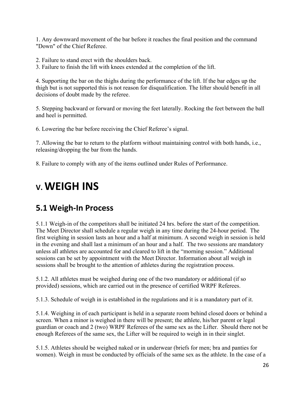1. Any downward movement of the bar before it reaches the final position and the command "Down" of the Chief Referee.

- 2. Failure to stand erect with the shoulders back.
- 3. Failure to finish the lift with knees extended at the completion of the lift.

4. Supporting the bar on the thighs during the performance of the lift. If the bar edges up the thigh but is not supported this is not reason for disqualification. The lifter should benefit in all decisions of doubt made by the referee.

5. Stepping backward or forward or moving the feet laterally. Rocking the feet between the ball and heel is permitted.

6. Lowering the bar before receiving the Chief Referee's signal.

7. Allowing the bar to return to the platform without maintaining control with both hands, i.e., releasing/dropping the bar from the hands.

8. Failure to comply with any of the items outlined under Rules of Performance.

# <span id="page-25-0"></span>**V. WEIGH INS**

#### <span id="page-25-1"></span>**5.1 Weigh-In Process**

5.1.1 Weigh-in of the competitors shall be initiated 24 hrs. before the start of the competition. The Meet Director shall schedule a regular weigh in any time during the 24-hour period. The first weighing in session lasts an hour and a half at minimum. A second weigh in session is held in the evening and shall last a minimum of an hour and a half. The two sessions are mandatory unless all athletes are accounted for and cleared to lift in the "morning session." Additional sessions can be set by appointment with the Meet Director. Information about all weigh in sessions shall be brought to the attention of athletes during the registration process.

5.1.2. All athletes must be weighed during one of the two mandatory or additional (if so provided) sessions, which are carried out in the presence of certified WRPF Referees.

5.1.3. Schedule of weigh in is established in the regulations and it is a mandatory part of it.

5.1.4. Weighing in of each participant is held in a separate room behind closed doors or behind a screen. When a minor is weighed in there will be present; the athlete, his/her parent or legal guardian or coach and 2 (two) WRPF Referees of the same sex as the Lifter. Should there not be enough Referees of the same sex, the Lifter will be required to weigh in in their singlet.

5.1.5. Athletes should be weighed naked or in underwear (briefs for men; bra and panties for women). Weigh in must be conducted by officials of the same sex as the athlete. In the case of a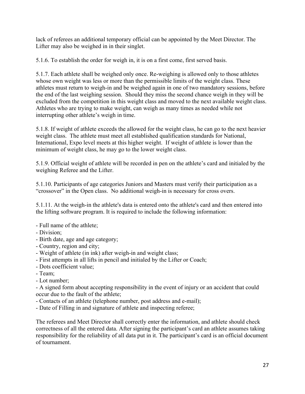lack of referees an additional temporary official can be appointed by the Meet Director. The Lifter may also be weighed in in their singlet.

5.1.6. To establish the order for weigh in, it is on a first come, first served basis.

5.1.7. Each athlete shall be weighed only once. Re-weighing is allowed only to those athletes whose own weight was less or more than the permissible limits of the weight class. These athletes must return to weigh-in and be weighed again in one of two mandatory sessions, before the end of the last weighing session. Should they miss the second chance weigh in they will be excluded from the competition in this weight class and moved to the next available weight class. Athletes who are trying to make weight, can weigh as many times as needed while not interrupting other athlete's weigh in time.

5.1.8. If weight of athlete exceeds the allowed for the weight class, he can go to the next heavier weight class. The athlete must meet all established qualification standards for National, International, Expo level meets at this higher weight. If weight of athlete is lower than the minimum of weight class, he may go to the lower weight class.

5.1.9. Official weight of athlete will be recorded in pen on the athlete's card and initialed by the weighing Referee and the Lifter.

5.1.10. Participants of age categories Juniors and Masters must verify their participation as a "crossover" in the Open class. No additional weigh-in is necessary for cross overs.

5.1.11. At the weigh-in the athlete's data is entered onto the athlete's card and then entered into the lifting software program. It is required to include the following information:

- Full name of the athlete;
- Division;
- Birth date, age and age category;
- Country, region and city;
- Weight of athlete (in ink) after weigh-in and weight class;
- First attempts in all lifts in pencil and initialed by the Lifter or Coach;
- Dots coefficient value;
- Team;
- Lot number;

- A signed form about accepting responsibility in the event of injury or an accident that could occur due to the fault of the athlete;

- Contacts of an athlete (telephone number, post address and e-mail);
- Date of Filling in and signature of athlete and inspecting referee;

The referees and Meet Director shall correctly enter the information, and athlete should check correctness of all the entered data. After signing the participant's card an athlete assumes taking responsibility for the reliability of all data put in it. The participant's card is an official document of tournament.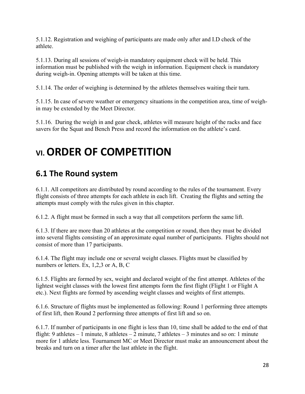5.1.12. Registration and weighing of participants are made only after and I.D check of the athlete.

5.1.13. During all sessions of weigh-in mandatory equipment check will be held. This information must be published with the weigh in information. Equipment check is mandatory during weigh-in. Opening attempts will be taken at this time.

5.1.14. The order of weighing is determined by the athletes themselves waiting their turn.

5.1.15. In case of severe weather or emergency situations in the competition area, time of weighin may be extended by the Meet Director.

5.1.16. During the weigh in and gear check, athletes will measure height of the racks and face savers for the Squat and Bench Press and record the information on the athlete's card.

# <span id="page-27-0"></span>**VI. ORDER OF COMPETITION**

#### <span id="page-27-1"></span>**6.1 The Round system**

6.1.1. All competitors are distributed by round according to the rules of the tournament. Every flight consists of three attempts for each athlete in each lift. Creating the flights and setting the attempts must comply with the rules given in this chapter.

6.1.2. A flight must be formed in such a way that all competitors perform the same lift.

6.1.3. If there are more than 20 athletes at the competition or round, then they must be divided into several flights consisting of an approximate equal number of participants. Flights should not consist of more than 17 participants.

6.1.4. The flight may include one or several weight classes. Flights must be classified by numbers or letters. Ex, 1,2,3 or A, B, C

6.1.5. Flights are formed by sex, weight and declared weight of the first attempt. Athletes of the lightest weight classes with the lowest first attempts form the first flight (Flight 1 or Flight A etc.). Next flights are formed by ascending weight classes and weights of first attempts.

6.1.6. Structure of flights must be implemented as following: Round 1 performing three attempts of first lift, then Round 2 performing three attempts of first lift and so on.

6.1.7. If number of participants in one flight is less than 10, time shall be added to the end of that flight: 9 athletes – 1 minute, 8 athletes – 2 minute, 7 athletes – 3 minutes and so on: 1 minute more for 1 athlete less. Tournament MC or Meet Director must make an announcement about the breaks and turn on a timer after the last athlete in the flight.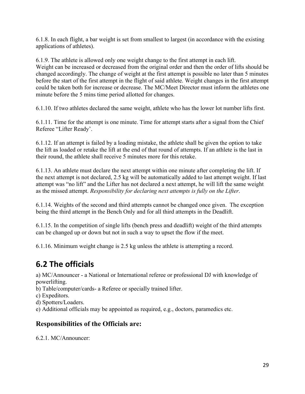6.1.8. In each flight, a bar weight is set from smallest to largest (in accordance with the existing applications of athletes).

6.1.9. The athlete is allowed only one weight change to the first attempt in each lift. Weight can be increased or decreased from the original order and then the order of lifts should be changed accordingly. The change of weight at the first attempt is possible no later than 5 minutes before the start of the first attempt in the flight of said athlete. Weight changes in the first attempt could be taken both for increase or decrease. The MC/Meet Director must inform the athletes one minute before the 5 mins time period allotted for changes.

6.1.10. If two athletes declared the same weight, athlete who has the lower lot number lifts first.

6.1.11. Time for the attempt is one minute. Time for attempt starts after a signal from the Chief Referee "Lifter Ready'.

6.1.12. If an attempt is failed by a loading mistake, the athlete shall be given the option to take the lift as loaded or retake the lift at the end of that round of attempts. If an athlete is the last in their round, the athlete shall receive 5 minutes more for this retake.

6.1.13. An athlete must declare the next attempt within one minute after completing the lift. If the next attempt is not declared, 2.5 kg will be automatically added to last attempt weight. If last attempt was "no lift" and the Lifter has not declared a next attempt, he will lift the same weight as the missed attempt. *Responsibility for declaring next attempts is fully on the Lifter*.

6.1.14. Weights of the second and third attempts cannot be changed once given. The exception being the third attempt in the Bench Only and for all third attempts in the Deadlift.

6.1.15. In the competition of single lifts (bench press and deadlift) weight of the third attempts can be changed up or down but not in such a way to upset the flow if the meet.

6.1.16. Minimum weight change is 2.5 kg unless the athlete is attempting a record.

### <span id="page-28-0"></span>**6.2 The officials**

a) MC/Announcer - a National or International referee or professional DJ with knowledge of powerlifting.

b) Table/computer/cards- a Referee or specially trained lifter.

c) Expeditors.

d) Spotters/Loaders.

e) Additional officials may be appointed as required, e.g., doctors, paramedics etc.

#### **Responsibilities of the Officials are:**

6.2.1. MC/Announcer: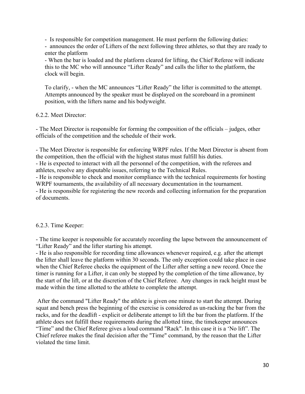- Is responsible for competition management. He must perform the following duties:

- announces the order of Lifters of the next following three athletes, so that they are ready to enter the platform

- When the bar is loaded and the platform cleared for lifting, the Chief Referee will indicate this to the MC who will announce "Lifter Ready" and calls the lifter to the platform, the clock will begin.

To clarify, - when the MC announces "Lifter Ready" the lifter is committed to the attempt. Attempts announced by the speaker must be displayed on the scoreboard in a prominent position, with the lifters name and his bodyweight.

6.2.2. Meet Director:

- The Meet Director is responsible for forming the composition of the officials – judges, other officials of the competition and the schedule of their work.

- The Meet Director is responsible for enforcing WRPF rules. If the Meet Director is absent from the competition, then the official with the highest status must fulfill his duties.

- He is expected to interact with all the personnel of the competition, with the referees and athletes, resolve any disputable issues, referring to the Technical Rules.

- He is responsible to check and monitor compliance with the technical requirements for hosting WRPF tournaments, the availability of all necessary documentation in the tournament.

- He is responsible for registering the new records and collecting information for the preparation of documents.

#### 6.2.3. Time Keeper:

- The time keeper is responsible for accurately recording the lapse between the announcement of "Lifter Ready" and the lifter starting his attempt.

- He is also responsible for recording time allowances whenever required, e.g. after the attempt the lifter shall leave the platform within 30 seconds. The only exception could take place in case when the Chief Referee checks the equipment of the Lifter after setting a new record. Once the timer is running for a Lifter, it can only be stopped by the completion of the time allowance, by the start of the lift, or at the discretion of the Chief Referee. Any changes in rack height must be made within the time allotted to the athlete to complete the attempt.

After the command "Lifter Ready" the athlete is given one minute to start the attempt. During squat and bench press the beginning of the exercise is considered as un-racking the bar from the racks, and for the deadlift - explicit or deliberate attempt to lift the bar from the platform. If the athlete does not fulfill these requirements during the allotted time, the timekeeper announces "Time" and the Chief Referee gives a loud command "Rack". In this case it is a 'No lift". The Chief referee makes the final decision after the "Time" command, by the reason that the Lifter violated the time limit.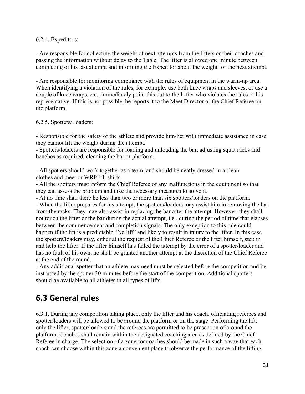#### 6.2.4. Expeditors:

- Are responsible for collecting the weight of next attempts from the lifters or their coaches and passing the information without delay to the Table. The lifter is allowed one minute between completing of his last attempt and informing the Expeditor about the weight for the next attempt.

- Are responsible for monitoring compliance with the rules of equipment in the warm-up area. When identifying a violation of the rules, for example: use both knee wraps and sleeves, or use a couple of knee wraps, etc., immediately point this out to the Lifter who violates the rules or his representative. If this is not possible, he reports it to the Meet Director or the Chief Referee on the platform.

#### 6.2.5. Spotters/Loaders:

- Responsible for the safety of the athlete and provide him/her with immediate assistance in case they cannot lift the weight during the attempt.

- Spotters/loaders are responsible for loading and unloading the bar, adjusting squat racks and benches as required, cleaning the bar or platform.

- All spotters should work together as a team, and should be neatly dressed in a clean clothes and meet or WRPF T-shirts.

- All the spotters must inform the Chief Referee of any malfunctions in the equipment so that they can assess the problem and take the necessary measures to solve it.

- At no time shall there be less than two or more than six spotters/loaders on the platform. - When the lifter prepares for his attempt, the spotters/loaders may assist him in removing the bar from the racks. They may also assist in replacing the bar after the attempt. However, they shall not touch the lifter or the bar during the actual attempt, i.e., during the period of time that elapses between the commencement and completion signals. The only exception to this rule could happen if the lift is a predictable "No lift" and likely to result in injury to the lifter. In this case the spotters/loaders may, either at the request of the Chief Referee or the lifter himself, step in and help the lifter. If the lifter himself has failed the attempt by the error of a spotter/loader and has no fault of his own, he shall be granted another attempt at the discretion of the Chief Referee at the end of the round.

- Any additional spotter that an athlete may need must be selected before the competition and be instructed by the spotter 30 minutes before the start of the competition. Additional spotters should be available to all athletes in all types of lifts.

#### <span id="page-30-0"></span>**6.3 General rules**

6.3.1. During any competition taking place, only the lifter and his coach, officiating referees and spotter/loaders will be allowed to be around the platform or on the stage. Performing the lift, only the lifter, spotter/loaders and the referees are permitted to be present on of around the platform. Coaches shall remain within the designated coaching area as defined by the Chief Referee in charge. The selection of a zone for coaches should be made in such a way that each coach can choose within this zone a convenient place to observe the performance of the lifting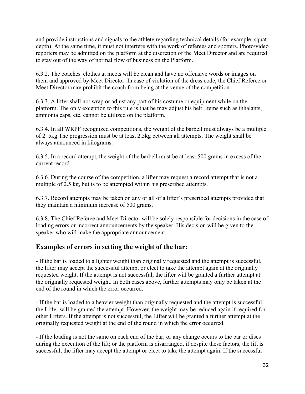and provide instructions and signals to the athlete regarding technical details (for example: squat depth). At the same time, it must not interfere with the work of referees and spotters. Photo/video reporters may be admitted on the platform at the discretion of the Meet Director and are required to stay out of the way of normal flow of business on the Platform.

6.3.2. The coaches' clothes at meets will be clean and have no offensive words or images on them and approved by Meet Director. In case of violation of the dress code, the Chief Referee or Meet Director may prohibit the coach from being at the venue of the competition.

6.3.3. A lifter shall not wrap or adjust any part of his costume or equipment while on the platform. The only exception to this rule is that he may adjust his belt. Items such as inhalants, ammonia caps, etc. cannot be utilized on the platform.

6.3.4. In all WRPF recognized competitions, the weight of the barbell must always be a multiple of 2. 5kg.The progression must be at least 2.5kg between all attempts. The weight shall be always announced in kilograms.

6.3.5. In a record attempt, the weight of the barbell must be at least 500 grams in excess of the current record.

6.3.6. During the course of the competition, a lifter may request a record attempt that is not a multiple of 2.5 kg, but is to be attempted within his prescribed attempts.

6.3.7. Record attempts may be taken on any or all of a lifter's prescribed attempts provided that they maintain a minimum increase of 500 grams.

6.3.8. The Chief Referee and Meet Director will be solely responsible for decisions in the case of loading errors or incorrect announcements by the speaker. His decision will be given to the speaker who will make the appropriate announcement.

#### **Examples of errors in setting the weight of the bar:**

- If the bar is loaded to a lighter weight than originally requested and the attempt is successful, the lifter may accept the successful attempt or elect to take the attempt again at the originally requested weight. If the attempt is not successful, the lifter will be granted a further attempt at the originally requested weight. In both cases above, further attempts may only be taken at the end of the round in which the error occurred.

- If the bar is loaded to a heavier weight than originally requested and the attempt is successful, the Lifter will be granted the attempt. However, the weight may be reduced again if required for other Lifters. If the attempt is not successful, the Lifter will be granted a further attempt at the originally requested weight at the end of the round in which the error occurred.

- If the loading is not the same on each end of the bar; or any change occurs to the bar or discs during the execution of the lift; or the platform is disarranged, if despite these factors, the lift is successful, the lifter may accept the attempt or elect to take the attempt again. If the successful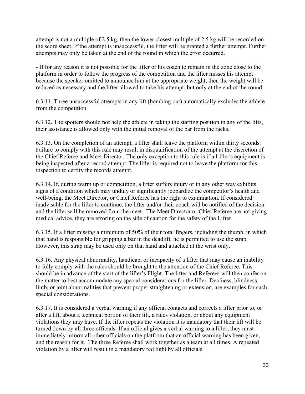attempt is not a multiple of 2.5 kg, then the lower closest multiple of 2.5 kg will be recorded on the score sheet. If the attempt is unsuccessful, the lifter will be granted a further attempt. Further attempts may only be taken at the end of the round in which the error occurred.

- If for any reason it is not possible for the lifter or his coach to remain in the zone close to the platform in order to follow the progress of the competition and the lifter misses his attempt because the speaker omitted to announce him at the appropriate weight, then the weight will be reduced as necessary and the lifter allowed to take his attempt, but only at the end of the round.

6.3.11. Three unsuccessful attempts in any lift (bombing out) automatically excludes the athlete from the competition.

6.3.12. The spotters should not help the athlete in taking the starting position in any of the lifts, their assistance is allowed only with the initial removal of the bar from the racks.

6.3.13. On the completion of an attempt, a lifter shall leave the platform within thirty seconds. Failure to comply with this rule may result in disqualification of the attempt at the discretion of the Chief Referee and Meet Director. The only exception to this rule is if a Lifter's equipment is being inspected after a record attempt. The lifter is required not to leave the platform for this inspection to certify the records attempt.

6.3.14. If, during warm up or competition, a lifter suffers injury or in any other way exhibits signs of a condition which may unduly or significantly jeopardize the competitor's health and well-being, the Meet Director, or Chief Referee has the right to examination. If considered inadvisable for the lifter to continue, the lifter and/or their coach will be notified of the decision and the lifter will be removed from the meet. The Meet Director or Chief Referee are not giving medical advice, they are erroring on the side of caution for the safety of the Lifter.

6.3.15. If a lifter missing a minimum of 50% of their total fingers, including the thumb, in which that hand is responsible for gripping a bar in the deadlift, he is permitted to use the strap. However, this strap may be used only on that hand and attached at the wrist only.

6.3.16. Any physical abnormality, handicap, or incapacity of a lifter that may cause an inability to fully comply with the rules should be brought to the attention of the Chief Referee. This should be in advance of the start of the lifter's Flight. The lifter and Referees will then confer on the matter to best accommodate any special considerations for the lifter. Deafness, blindness, limb, or joint abnormalities that prevent proper straightening or extension, are examples for such special considerations.

6.3.17. It is considered a verbal warning if any official contacts and corrects a lifter prior to, or after a lift, about a technical portion of their lift, a rules violation, or about any equipment violations they may have. If the lifter repeats the violation it is mandatory that their lift will be turned down by all three officials. If an official gives a verbal warning to a lifter, they must immediately inform all other officials on the platform that an official warning has been given, and the reason for it. The three Referee shall work together as a team at all times. A repeated violation by a lifter will result in a mandatory red light by all officials.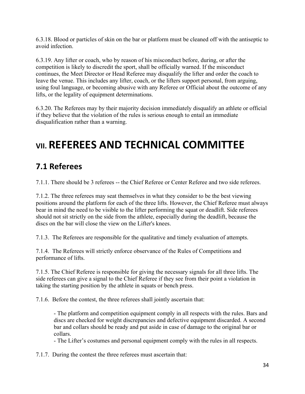6.3.18. Blood or particles of skin on the bar or platform must be cleaned off with the antiseptic to avoid infection.

6.3.19. Any lifter or coach, who by reason of his misconduct before, during, or after the competition is likely to discredit the sport, shall be officially warned. If the misconduct continues, the Meet Director or Head Referee may disqualify the lifter and order the coach to leave the venue. This includes any lifter, coach, or the lifters support personal, from arguing, using foul language, or becoming abusive with any Referee or Official about the outcome of any lifts, or the legality of equipment determinations.

6.3.20. The Referees may by their majority decision immediately disqualify an athlete or official if they believe that the violation of the rules is serious enough to entail an immediate disqualification rather than a warning.

# <span id="page-33-0"></span>**VII. REFEREES AND TECHNICAL COMMITTEE**

### <span id="page-33-1"></span>**7.1 Referees**

7.1.1. There should be 3 referees -- the Chief Referee or Center Referee and two side referees.

7.1.2. The three referees may seat themselves in what they consider to be the best viewing positions around the platform for each of the three lifts. However, the Chief Referee must always bear in mind the need to be visible to the lifter performing the squat or deadlift. Side referees should not sit strictly on the side from the athlete, especially during the deadlift, because the discs on the bar will close the view on the Lifter's knees.

7.1.3. The Referees are responsible for the qualitative and timely evaluation of attempts.

7.1.4. The Referees will strictly enforce observance of the Rules of Competitions and performance of lifts.

7.1.5. The Chief Referee is responsible for giving the necessary signals for all three lifts. The side referees can give a signal to the Chief Referee if they see from their point a violation in taking the starting position by the athlete in squats or bench press.

7.1.6. Before the contest, the three referees shall jointly ascertain that:

- The platform and competition equipment comply in all respects with the rules. Bars and discs are checked for weight discrepancies and defective equipment discarded. A second bar and collars should be ready and put aside in case of damage to the original bar or collars.

- The Lifter's costumes and personal equipment comply with the rules in all respects.

7.1.7. During the contest the three referees must ascertain that: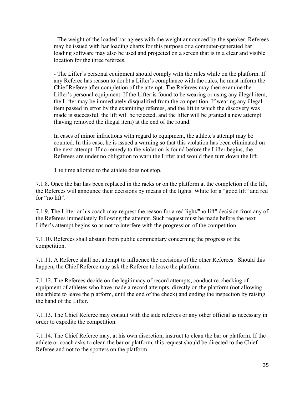- The weight of the loaded bar agrees with the weight announced by the speaker. Referees may be issued with bar loading charts for this purpose or a computer-generated bar loading software may also be used and projected on a screen that is in a clear and visible location for the three referees.

- The Lifter's personal equipment should comply with the rules while on the platform. If any Referee has reason to doubt a Lifter's compliance with the rules, he must inform the Chief Referee after completion of the attempt. The Referees may then examine the Lifter's personal equipment. If the Lifter is found to be wearing or using any illegal item, the Lifter may be immediately disqualified from the competition. If wearing any illegal item passed in error by the examining referees, and the lift in which the discovery was made is successful, the lift will be rejected, and the lifter will be granted a new attempt (having removed the illegal item) at the end of the round.

In cases of minor infractions with regard to equipment, the athlete's attempt may be counted. In this case, he is issued a warning so that this violation has been eliminated on the next attempt. If no remedy to the violation is found before the Lifter begins, the Referees are under no obligation to warn the Lifter and would then turn down the lift.

The time allotted to the athlete does not stop.

7.1.8. Once the bar has been replaced in the racks or on the platform at the completion of the lift, the Referees will announce their decisions by means of the lights. White for a "good lift" and red for "no lift".

7.1.9. The Lifter or his coach may request the reason for a red light/"no lift" decision from any of the Referees immediately following the attempt. Such request must be made before the next Lifter's attempt begins so as not to interfere with the progression of the competition.

7.1.10. Referees shall abstain from public commentary concerning the progress of the competition.

7.1.11. A Referee shall not attempt to influence the decisions of the other Referees. Should this happen, the Chief Referee may ask the Referee to leave the platform.

7.1.12. The Referees decide on the legitimacy of record attempts, conduct re-checking of equipment of athletes who have made a record attempts, directly on the platform (not allowing the athlete to leave the platform, until the end of the check) and ending the inspection by raising the hand of the Lifter.

7.1.13. The Chief Referee may consult with the side referees or any other official as necessary in order to expedite the competition.

7.1.14. The Chief Referee may, at his own discretion, instruct to clean the bar or platform. If the athlete or coach asks to clean the bar or platform, this request should be directed to the Chief Referee and not to the spotters on the platform.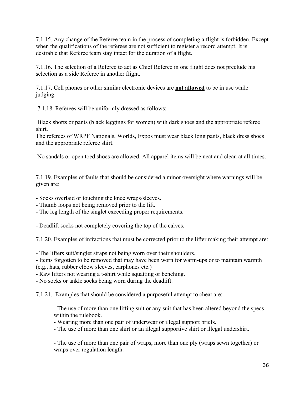7.1.15. Any change of the Referee team in the process of completing a flight is forbidden. Except when the qualifications of the referees are not sufficient to register a record attempt. It is desirable that Referee team stay intact for the duration of a flight.

7.1.16. The selection of a Referee to act as Chief Referee in one flight does not preclude his selection as a side Referee in another flight.

7.1.17. Cell phones or other similar electronic devices are **not allowed** to be in use while judging.

7.1.18. Referees will be uniformly dressed as follows:

Black shorts or pants (black leggings for women) with dark shoes and the appropriate referee shirt.

The referees of WRPF Nationals, Worlds, Expos must wear black long pants, black dress shoes and the appropriate referee shirt.

No sandals or open toed shoes are allowed. All apparel items will be neat and clean at all times.

7.1.19. Examples of faults that should be considered a minor oversight where warnings will be given are:

- Socks overlaid or touching the knee wraps/sleeves.

- Thumb loops not being removed prior to the lift.

- The leg length of the singlet exceeding proper requirements.

- Deadlift socks not completely covering the top of the calves.

7.1.20. Examples of infractions that must be corrected prior to the lifter making their attempt are:

- The lifters suit/singlet straps not being worn over their shoulders.

- Items forgotten to be removed that may have been worn for warm-ups or to maintain warmth (e.g., hats, rubber elbow sleeves, earphones etc.)

- Raw lifters not wearing a t-shirt while squatting or benching.

- No socks or ankle socks being worn during the deadlift.

7.1.21. Examples that should be considered a purposeful attempt to cheat are:

- The use of more than one lifting suit or any suit that has been altered beyond the specs within the rulebook.

- Wearing more than one pair of underwear or illegal support briefs.

- The use of more than one shirt or an illegal supportive shirt or illegal undershirt.

- The use of more than one pair of wraps, more than one ply (wraps sewn together) or wraps over regulation length.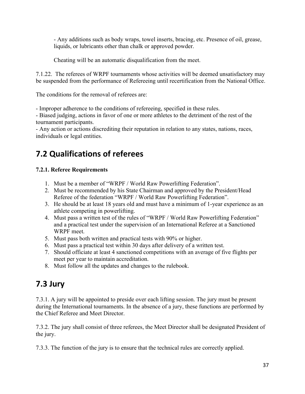- Any additions such as body wraps, towel inserts, bracing, etc. Presence of oil, grease, liquids, or lubricants other than chalk or approved powder.

Cheating will be an automatic disqualification from the meet.

7.1.22. The referees of WRPF tournaments whose activities will be deemed unsatisfactory may be suspended from the performance of Refereeing until recertification from the National Office.

The conditions for the removal of referees are:

- Improper adherence to the conditions of refereeing, specified in these rules.

- Biased judging, actions in favor of one or more athletes to the detriment of the rest of the tournament participants.

- Any action or actions discrediting their reputation in relation to any states, nations, races, individuals or legal entities.

### <span id="page-36-0"></span>**7.2 Qualifications of referees**

#### **7.2.1. Referee Requirements**

- 1. Must be a member of "WRPF / World Raw Powerlifting Federation".
- 2. Must be recommended by his State Chairman and approved by the President/Head Referee of the federation "WRPF / World Raw Powerlifting Federation".
- 3. He should be at least 18 years old and must have a minimum of 1-year experience as an athlete competing in powerlifting.
- 4. Must pass a written test of the rules of "WRPF / World Raw Powerlifting Federation" and a practical test under the supervision of an International Referee at a Sanctioned WRPF meet.
- 5. Must pass both written and practical tests with 90% or higher.
- 6. Must pass a practical test within 30 days after delivery of a written test.
- 7. Should officiate at least 4 sanctioned competitions with an average of five flights per meet per year to maintain accreditation.
- 8. Must follow all the updates and changes to the rulebook.

#### <span id="page-36-1"></span>**7.3 Jury**

7.3.1. A jury will be appointed to preside over each lifting session. The jury must be present during the International tournaments. In the absence of a jury, these functions are performed by the Chief Referee and Meet Director.

7.3.2. The jury shall consist of three referees, the Meet Director shall be designated President of the jury.

7.3.3. The function of the jury is to ensure that the technical rules are correctly applied.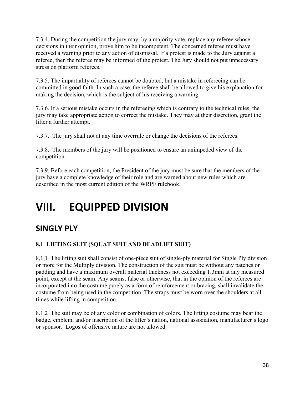7.3.4. During the competition the jury may, by a majority vote, replace any referee whose decisions in their opinion, prove him to be incompetent. The concerned referee must have received a warning prior to any action of dismissal. If a protest is made to the Jury against a referee, then the referee may be informed of the protest. The Jury should not put unnecessary stress on platform referees.

7.3.5. The impartiality of referees cannot be doubted, but a mistake in refereeing can be committed in good faith. In such a case, the referee shall be allowed to give his explanation for making the decision, which is the subject of his receiving a warning.

7.3.6. If a serious mistake occurs in the refereeing which is contrary to the technical rules, the jury may take appropriate action to correct the mistake. They may at their discretion, grant the lifter a further attempt.

7.3.7. The jury shall not at any time overrule or change the decisions of the referees.

7.3.8. The members of the jury will be positioned to ensure an unimpeded view of the competition.

7.3.9. Before each competition, the President of the jury must be sure that the members of the jury have a complete knowledge of their role and are warned about new rules which are described in the most current edition of the WRPF rulebook.

# <span id="page-37-0"></span>**VIII. EQUIPPED DIVISION**

#### <span id="page-37-1"></span>**SINGLY PLY**

#### **8,1 LIFTING SUIT (SQUAT SUIT AND DEADLIFT SUIT)**

8,1,1 The lifting suit shall consist of one-piece suit of single-ply material for Single Ply division or more for the Multiply division. The construction of the suit must be without any patches or padding and have a maximum overall material thickness not exceeding 1.3mm at any measured point, except at the seam. Any seams, false or otherwise, that in the opinion of the referees are incorporated into the costume purely as a form of reinforcement or bracing, shall invalidate the costume from being used in the competition. The straps must be worn over the shoulders at all times while lifting in competition.

8.1.2 The suit may be of any color or combination of colors. The lifting costume may bear the badge, emblem, and/or inscription of the lifter's nation, national association, manufacturer's logo or sponsor. Logos of offensive nature are not allowed.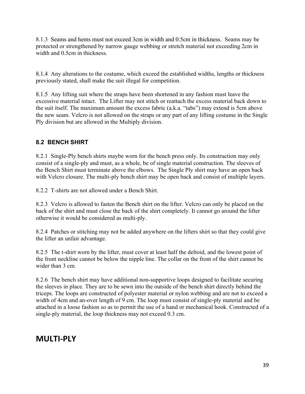8.1.3 Seams and hems must not exceed 3cm in width and 0.5cm in thickness. Seams may be protected or strengthened by narrow gauge webbing or stretch material not exceeding 2cm in width and 0.5cm in thickness.

8.1.4 Any alterations to the costume, which exceed the established widths, lengths or thickness previously stated, shall make the suit illegal for competition.

8.1.5 Any lifting suit where the straps have been shortened in any fashion must leave the excessive material intact. The Lifter may not stitch or reattach the excess material back down to the suit itself. The maximum amount the excess fabric (a.k.a. "tabs") may extend is 5cm above the new seam. Velcro is not allowed on the straps or any part of any lifting costume in the Single Ply division but are allowed in the Multiply division.

#### **8.2 BENCH SHIRT**

8.2.1Single-Ply bench shirts maybe worn for the bench press only. Its construction may only consist of a single-ply and must, as a whole, be of single material construction. The sleeves of the Bench Shirt must terminate above the elbows. The Single Ply shirt may have an open back with Velcro closure. The multi-ply bench shirt may be open back and consist of multiple layers.

8.2.2 T-shirts are not allowed under a Bench Shirt.

8.2.3 Velcro is allowed to fasten the Bench shirt on the lifter. Velcro can only be placed on the back of the shirt and must close the back of the shirt completely. It cannot go around the lifter otherwise it would be considered as multi-ply.

8.2.4 Patches or stitching may not be added anywhere on the lifters shirt so that they could give the lifter an unfair advantage.

8.2.5 The t-shirt worn by the lifter, must cover at least half the deltoid, and the lowest point of the front neckline cannot be below the nipple line. The collar on the front of the shirt cannot be wider than 3 cm.

8.2.6 The bench shirt may have additional non-supportive loops designed to facilitate securing the sleeves in place. They are to be sewn into the outside of the bench shirt directly behind the triceps. The loops are constructed of polyester material or nylon webbing and are not to exceed a width of 4cm and an-over length of 9 cm. The loop must consist of single-ply material and be attached in a loose fashion so as to permit the use of a hand or mechanical hook. Constructed of a single-ply material, the loop thickness may not exceed 0.3 cm.

#### <span id="page-38-0"></span>**MULTI-PLY**